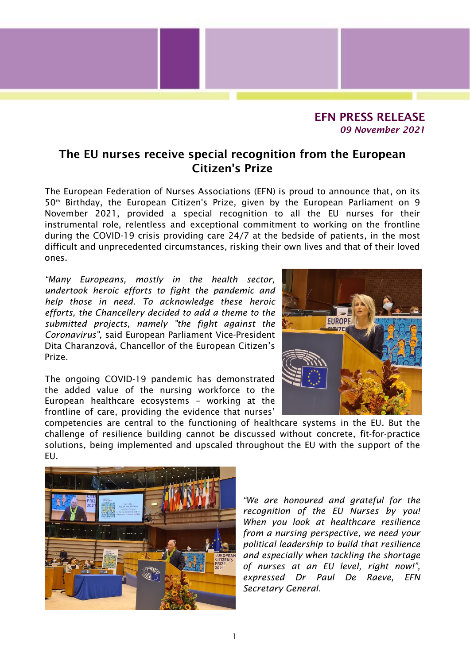

## The EU nurses receive special recognition from the European Citizen's Prize

The European Federation of Nurses Associations (EFN) is proud to announce that, on its 50<sup>th</sup> Birthday, the European Citizen's Prize, given by the European Parliament on 9 November 2021, provided a special recognition to all the EU nurses for their instrumental role, relentless and exceptional commitment to working on the frontline during the COVID-19 crisis providing care 24/7 at the bedside of patients, in the most difficult and unprecedented circumstances, risking their own lives and that of their loved ones.

*"Many Europeans, mostly in the health sector, undertook heroic efforts to fight the pandemic and help those in need. To acknowledge these heroic efforts, the Chancellery decided to add a theme to the submitted projects, namely "the fight against the Coronavirus",* said European Parliament Vice-President Dita Charanzová, Chancellor of the European Citizen's Prize.

The ongoing COVID-19 pandemic has demonstrated the added value of the nursing workforce to the European healthcare ecosystems – working at the frontline of care, providing the evidence that nurses'



competencies are central to the functioning of healthcare systems in the EU. But the challenge of resilience building cannot be discussed without concrete, fit-for-practice solutions, being implemented and upscaled throughout the EU with the support of the EU.



*"We are honoured and grateful for the recognition of the EU Nurses by you! When you look at healthcare resilience from a nursing perspective, we need your political leadership to build that resilience and especially when tackling the shortage of nurses at an EU level, right now!", expressed Dr Paul De Raeve, EFN Secretary General.*